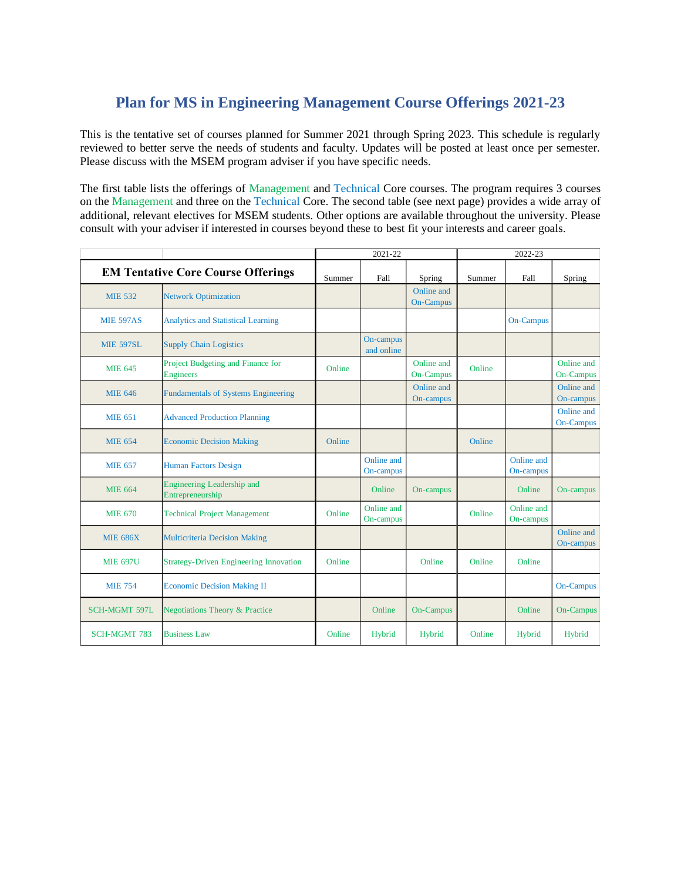## **Plan for MS in Engineering Management Course Offerings 2021-23**

This is the tentative set of courses planned for Summer 2021 through Spring 2023. This schedule is regularly reviewed to better serve the needs of students and faculty. Updates will be posted at least once per semester. Please discuss with the MSEM program adviser if you have specific needs.

The first table lists the offerings of Management and Technical Core courses. The program requires 3 courses on the Management and three on the Technical Core. The second table (see next page) provides a wide array of additional, relevant electives for MSEM students. Other options are available throughout the university. Please consult with your adviser if interested in courses beyond these to best fit your interests and career goals.

|                                           |                                                       | 2021-22 |                         |                                | 2022-23 |                         |                                |
|-------------------------------------------|-------------------------------------------------------|---------|-------------------------|--------------------------------|---------|-------------------------|--------------------------------|
| <b>EM Tentative Core Course Offerings</b> |                                                       | Summer  | Fall                    | Spring                         | Summer  | Fall                    | Spring                         |
| <b>MIE 532</b>                            | <b>Network Optimization</b>                           |         |                         | Online and<br><b>On-Campus</b> |         |                         |                                |
| <b>MIE 597AS</b>                          | <b>Analytics and Statistical Learning</b>             |         |                         |                                |         | <b>On-Campus</b>        |                                |
| <b>MIE 597SL</b>                          | <b>Supply Chain Logistics</b>                         |         | On-campus<br>and online |                                |         |                         |                                |
| <b>MIE 645</b>                            | Project Budgeting and Finance for<br><b>Engineers</b> | Online  |                         | Online and<br>On-Campus        | Online  |                         | Online and<br><b>On-Campus</b> |
| <b>MIE 646</b>                            | <b>Fundamentals of Systems Engineering</b>            |         |                         | Online and<br>On-campus        |         |                         | Online and<br>On-campus        |
| <b>MIE 651</b>                            | <b>Advanced Production Planning</b>                   |         |                         |                                |         |                         | Online and<br><b>On-Campus</b> |
| <b>MIE 654</b>                            | <b>Economic Decision Making</b>                       | Online  |                         |                                | Online  |                         |                                |
| <b>MIE 657</b>                            | <b>Human Factors Design</b>                           |         | Online and<br>On-campus |                                |         | Online and<br>On-campus |                                |
| <b>MIE 664</b>                            | Engineering Leadership and<br>Entrepreneurship        |         | Online                  | On-campus                      |         | Online                  | On-campus                      |
| <b>MIE 670</b>                            | <b>Technical Project Management</b>                   | Online  | Online and<br>On-campus |                                | Online  | Online and<br>On-campus |                                |
| <b>MIE 686X</b>                           | <b>Multicriteria Decision Making</b>                  |         |                         |                                |         |                         | Online and<br>On-campus        |
| <b>MIE 697U</b>                           | <b>Strategy-Driven Engineering Innovation</b>         | Online  |                         | Online                         | Online  | Online                  |                                |
| <b>MIE 754</b>                            | <b>Economic Decision Making II</b>                    |         |                         |                                |         |                         | <b>On-Campus</b>               |
| <b>SCH-MGMT 597L</b>                      | <b>Negotiations Theory &amp; Practice</b>             |         | Online                  | <b>On-Campus</b>               |         | Online                  | <b>On-Campus</b>               |
| <b>SCH-MGMT 783</b>                       | <b>Business Law</b>                                   | Online  | Hybrid                  | Hybrid                         | Online  | Hybrid                  | Hybrid                         |